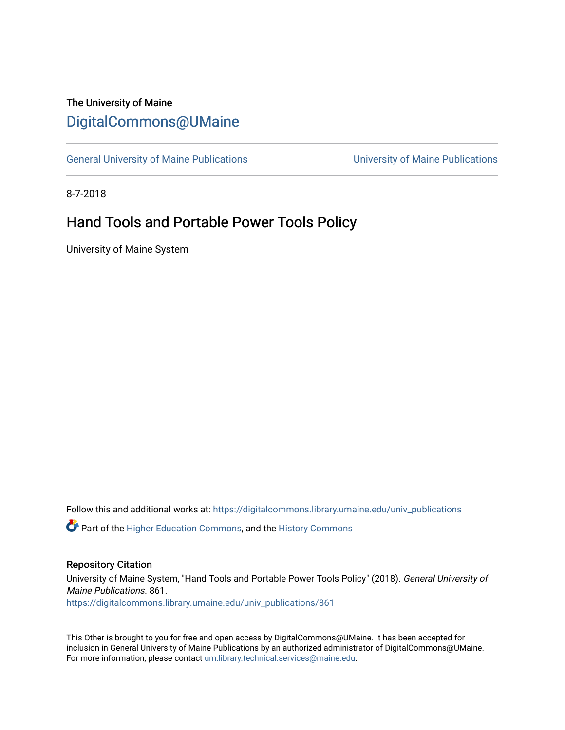# The University of Maine [DigitalCommons@UMaine](https://digitalcommons.library.umaine.edu/)

[General University of Maine Publications](https://digitalcommons.library.umaine.edu/univ_publications) [University of Maine Publications](https://digitalcommons.library.umaine.edu/umaine_publications) 

8-7-2018

# Hand Tools and Portable Power Tools Policy

University of Maine System

Follow this and additional works at: [https://digitalcommons.library.umaine.edu/univ\\_publications](https://digitalcommons.library.umaine.edu/univ_publications?utm_source=digitalcommons.library.umaine.edu%2Funiv_publications%2F861&utm_medium=PDF&utm_campaign=PDFCoverPages) 

**C** Part of the [Higher Education Commons,](http://network.bepress.com/hgg/discipline/1245?utm_source=digitalcommons.library.umaine.edu%2Funiv_publications%2F861&utm_medium=PDF&utm_campaign=PDFCoverPages) and the [History Commons](http://network.bepress.com/hgg/discipline/489?utm_source=digitalcommons.library.umaine.edu%2Funiv_publications%2F861&utm_medium=PDF&utm_campaign=PDFCoverPages)

#### Repository Citation

University of Maine System, "Hand Tools and Portable Power Tools Policy" (2018). General University of Maine Publications. 861.

[https://digitalcommons.library.umaine.edu/univ\\_publications/861](https://digitalcommons.library.umaine.edu/univ_publications/861?utm_source=digitalcommons.library.umaine.edu%2Funiv_publications%2F861&utm_medium=PDF&utm_campaign=PDFCoverPages) 

This Other is brought to you for free and open access by DigitalCommons@UMaine. It has been accepted for inclusion in General University of Maine Publications by an authorized administrator of DigitalCommons@UMaine. For more information, please contact [um.library.technical.services@maine.edu](mailto:um.library.technical.services@maine.edu).